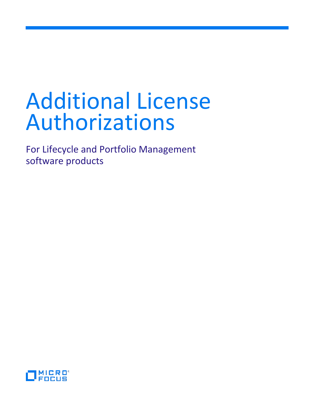# Additional License Authorizations

For Lifecycle and Portfolio Management software products

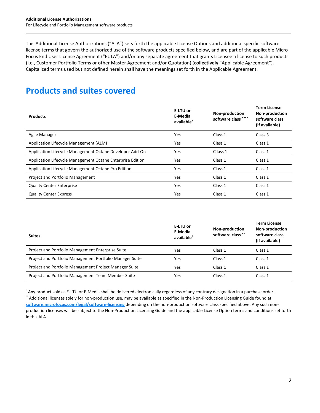This Additional License Authorizations ("ALA") sets forth the applicable License Options and additional specific software license terms that govern the authorized use of the software products specified below, and are part of the applicable Micro Focus End User License Agreement ("EULA") and/or any separate agreement that grants Licensee a license to such products (i.e., Customer Portfolio Terms or other Master Agreement and/or Quotation) (**collectively** "Applicable Agreement"). Capitalized terms used but not defined herein shall have the meanings set forth in the Applicable Agreement.

# **Products and suites covered**

| <b>Products</b>                                            | E-LTU or<br>E-Media<br>available <sup>*</sup> | Non-production<br>software class **** | <b>Term License</b><br><b>Non-production</b><br>software class<br>(if available) |
|------------------------------------------------------------|-----------------------------------------------|---------------------------------------|----------------------------------------------------------------------------------|
| Agile Manager                                              | Yes                                           | Class 1                               | Class 3                                                                          |
| Application Lifecycle Management (ALM)                     | Yes                                           | Class 1                               | Class 1                                                                          |
| Application Lifecycle Management Octane Developer Add-On   | Yes                                           | C lass 1                              | Class 1                                                                          |
| Application Lifecycle Management Octane Enterprise Edition | Yes                                           | Class 1                               | Class 1                                                                          |
| Application Lifecycle Management Octane Pro Edition        | Yes                                           | Class 1                               | Class 1                                                                          |
| Project and Portfolio Management                           | Yes                                           | Class 1                               | Class 1                                                                          |
| <b>Quality Center Enterprise</b>                           | Yes                                           | Class 1                               | Class 1                                                                          |
| <b>Quality Center Express</b>                              | Yes                                           | Class 1                               | Class 1                                                                          |

| <b>Suites</b>                                            | E-LTU or<br>E-Media<br>available* | <b>Non-production</b><br>software class ** | <b>Term License</b><br><b>Non-production</b><br>software class<br>(if available) |
|----------------------------------------------------------|-----------------------------------|--------------------------------------------|----------------------------------------------------------------------------------|
| Project and Portfolio Management Enterprise Suite        | Yes                               | Class 1                                    | Class 1                                                                          |
| Project and Portfolio Management Portfolio Manager Suite | Yes                               | Class 1                                    | Class 1                                                                          |
| Project and Portfolio Management Project Manager Suite   | Yes                               | Class 1                                    | Class 1                                                                          |
| Project and Portfolio Management Team Member Suite       | Yes                               | Class 1                                    | Class 1                                                                          |

\* Any product sold as E-LTU or E-Media shall be delivered electronically regardless of any contrary designation in a purchase order. \*\* Additional licenses solely for non-production use, may be available as specified in the Non-Production Licensing Guide found at **[software.microfocus.com/legal/software-licensing](http://software.microfocus.com/legal/software-licensing)** depending on the non-production software class specified above. Any such nonproduction licenses will be subject to the Non-Production Licensing Guide and the applicable License Option terms and conditions set forth in this ALA.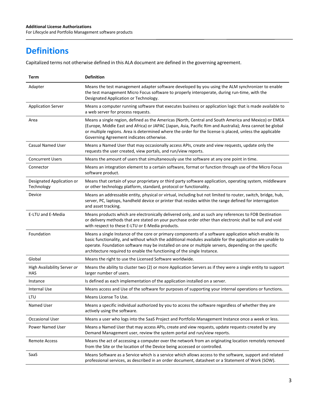# **Definitions**

Capitalized terms not otherwise defined in this ALA document are defined in the governing agreement.

| Term                                    | <b>Definition</b>                                                                                                                                                                                                                                                                                                                                                                                   |
|-----------------------------------------|-----------------------------------------------------------------------------------------------------------------------------------------------------------------------------------------------------------------------------------------------------------------------------------------------------------------------------------------------------------------------------------------------------|
| Adapter                                 | Means the test management adapter software developed by you using the ALM synchronizer to enable<br>the test management Micro Focus software to properly interoperate, during run-time, with the<br>Designated Application or Technology.                                                                                                                                                           |
| <b>Application Server</b>               | Means a computer running software that executes business or application logic that is made available to<br>a web server for process requests.                                                                                                                                                                                                                                                       |
| Area                                    | Means a single region, defined as the Americas (North, Central and South America and Mexico) or EMEA<br>(Europe, Middle East and Africa) or JAPAC (Japan, Asia, Pacific Rim and Australia); Area cannot be global<br>or multiple regions. Area is determined where the order for the license is placed, unless the applicable<br>Governing Agreement indicates otherwise.                           |
| <b>Casual Named User</b>                | Means a Named User that may occasionally access APIs, create and view requests, update only the<br>requests the user created, view portals, and run/view reports.                                                                                                                                                                                                                                   |
| <b>Concurrent Users</b>                 | Means the amount of users that simultaneously use the software at any one point in time.                                                                                                                                                                                                                                                                                                            |
| Connector                               | Means an integration element to a certain software, format or function through use of the Micro Focus<br>software product.                                                                                                                                                                                                                                                                          |
| Designated Application or<br>Technology | Means that certain of your proprietary or third party software application, operating system, middleware<br>or other technology platform, standard, protocol or functionality.                                                                                                                                                                                                                      |
| Device                                  | Means an addressable entity, physical or virtual, including but not limited to router, switch, bridge, hub,<br>server, PC, laptops, handheld device or printer that resides within the range defined for interrogation<br>and asset tracking.                                                                                                                                                       |
| E-LTU and E-Media                       | Means products which are electronically delivered only, and as such any references to FOB Destination<br>or delivery methods that are stated on your purchase order other than electronic shall be null and void<br>with respect to these E-LTU or E-Media products.                                                                                                                                |
| Foundation                              | Means a single Instance of the core or primary components of a software application which enable its<br>basic functionality, and without which the additional modules available for the application are unable to<br>operate. Foundation software may be installed on one or multiple servers, depending on the specific<br>architecture required to enable the functioning of the single Instance. |
| Global                                  | Means the right to use the Licensed Software worldwide.                                                                                                                                                                                                                                                                                                                                             |
| High Availability Server or<br>HAS      | Means the ability to cluster two (2) or more Application Servers as if they were a single entity to support<br>larger number of users.                                                                                                                                                                                                                                                              |
| Instance                                | Is defined as each implementation of the application installed on a server.                                                                                                                                                                                                                                                                                                                         |
| Internal Use                            | Means access and Use of the software for purposes of supporting your internal operations or functions.                                                                                                                                                                                                                                                                                              |
| LTU                                     | Means License To Use.                                                                                                                                                                                                                                                                                                                                                                               |
| Named User                              | Means a specific individual authorized by you to access the software regardless of whether they are<br>actively using the software.                                                                                                                                                                                                                                                                 |
| Occasional User                         | Means a user who logs into the SaaS Project and Portfolio Management Instance once a week or less.                                                                                                                                                                                                                                                                                                  |
| Power Named User                        | Means a Named User that may access APIs, create and view requests, update requests created by any<br>Demand Management user, review the system portal and run/view reports.                                                                                                                                                                                                                         |
| <b>Remote Access</b>                    | Means the act of accessing a computer over the network from an originating location remotely removed<br>from the Site or the location of the Device being accessed or controlled.                                                                                                                                                                                                                   |
| SaaS                                    | Means Software as a Service which is a service which allows access to the software, support and related<br>professional services, as described in an order document, datasheet or a Statement of Work (SOW).                                                                                                                                                                                        |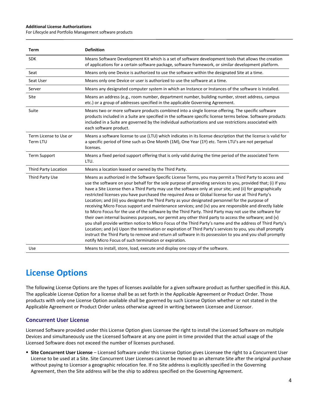#### **Additional License Authorizations**

For Lifecycle and Portfolio Management software products

| Term                               | <b>Definition</b>                                                                                                                                                                                                                                                                                                                                                                                                                                                                                                                                                                                                                                                                                                                                                                                                                                                                                                                                                                                                                                                                                                                                                                                                                                                                    |
|------------------------------------|--------------------------------------------------------------------------------------------------------------------------------------------------------------------------------------------------------------------------------------------------------------------------------------------------------------------------------------------------------------------------------------------------------------------------------------------------------------------------------------------------------------------------------------------------------------------------------------------------------------------------------------------------------------------------------------------------------------------------------------------------------------------------------------------------------------------------------------------------------------------------------------------------------------------------------------------------------------------------------------------------------------------------------------------------------------------------------------------------------------------------------------------------------------------------------------------------------------------------------------------------------------------------------------|
| <b>SDK</b>                         | Means Software Development Kit which is a set of software development tools that allows the creation<br>of applications for a certain software package, software framework, or similar development platform.                                                                                                                                                                                                                                                                                                                                                                                                                                                                                                                                                                                                                                                                                                                                                                                                                                                                                                                                                                                                                                                                         |
| Seat                               | Means only one Device is authorized to use the software within the designated Site at a time.                                                                                                                                                                                                                                                                                                                                                                                                                                                                                                                                                                                                                                                                                                                                                                                                                                                                                                                                                                                                                                                                                                                                                                                        |
| Seat User                          | Means only one Device or user is authorized to use the software at a time.                                                                                                                                                                                                                                                                                                                                                                                                                                                                                                                                                                                                                                                                                                                                                                                                                                                                                                                                                                                                                                                                                                                                                                                                           |
| Server                             | Means any designated computer system in which an Instance or Instances of the software is installed.                                                                                                                                                                                                                                                                                                                                                                                                                                                                                                                                                                                                                                                                                                                                                                                                                                                                                                                                                                                                                                                                                                                                                                                 |
| Site                               | Means an address (e.g., room number, department number, building number, street address, campus<br>etc.) or a group of addresses specified in the applicable Governing Agreement.                                                                                                                                                                                                                                                                                                                                                                                                                                                                                                                                                                                                                                                                                                                                                                                                                                                                                                                                                                                                                                                                                                    |
| Suite                              | Means two or more software products combined into a single license offering. The specific software<br>products included in a Suite are specified in the software specific license terms below. Software products<br>included in a Suite are governed by the individual authorizations and use restrictions associated with<br>each software product.                                                                                                                                                                                                                                                                                                                                                                                                                                                                                                                                                                                                                                                                                                                                                                                                                                                                                                                                 |
| Term License to Use or<br>Term LTU | Means a software license to use (LTU) which indicates in its license description that the license is valid for<br>a specific period of time such as One Month (1M), One Year (1Y) etc. Term LTU's are not perpetual<br>licenses.                                                                                                                                                                                                                                                                                                                                                                                                                                                                                                                                                                                                                                                                                                                                                                                                                                                                                                                                                                                                                                                     |
| <b>Term Support</b>                | Means a fixed period support offering that is only valid during the time period of the associated Term<br>LTU.                                                                                                                                                                                                                                                                                                                                                                                                                                                                                                                                                                                                                                                                                                                                                                                                                                                                                                                                                                                                                                                                                                                                                                       |
| <b>Third Party Location</b>        | Means a location leased or owned by the Third Party.                                                                                                                                                                                                                                                                                                                                                                                                                                                                                                                                                                                                                                                                                                                                                                                                                                                                                                                                                                                                                                                                                                                                                                                                                                 |
| Third Party Use                    | Means as authorized in the Software Specific License Terms, you may permit a Third Party to access and<br>use the software on your behalf for the sole purpose of providing services to you, provided that; (i) If you<br>have a Site License then a Third Party may use the software only at your site; and (ii) for geographically<br>restricted licenses you have purchased the required Area or Global license for use at Third Party's<br>Location; and (iii) you designate the Third Party as your designated personnel for the purpose of<br>receiving Micro Focus support and maintenance services; and (iv) you are responsible and directly liable<br>to Micro Focus for the use of the software by the Third Party. Third Party may not use the software for<br>their own internal business purposes, nor permit any other third party to access the software; and (v)<br>you shall provide written notice to Micro Focus of the Third Party's name and the address of Third Party's<br>Location; and (vi) Upon the termination or expiration of Third Party's services to you, you shall promptly<br>instruct the Third Party to remove and return all software in its possession to you and you shall promptly<br>notify Micro Focus of such termination or expiration. |
| Use                                | Means to install, store, load, execute and display one copy of the software.                                                                                                                                                                                                                                                                                                                                                                                                                                                                                                                                                                                                                                                                                                                                                                                                                                                                                                                                                                                                                                                                                                                                                                                                         |

# **License Options**

The following License Options are the types of licenses available for a given software product as further specified in this ALA. The applicable License Option for a license shall be as set forth in the Applicable Agreement or Product Order. Those products with only one License Option available shall be governed by such License Option whether or not stated in the Applicable Agreement or Product Order unless otherwise agreed in writing between Licensee and Licensor.

### **Concurrent User License**

Licensed Software provided under this License Option gives Licensee the right to install the Licensed Software on multiple Devices and simultaneously use the Licensed Software at any one point in time provided that the actual usage of the Licensed Software does not exceed the number of licenses purchased.

 **Site Concurrent User License** – Licensed Software under this License Option gives Licensee the right to a Concurrent User License to be used at a Site. Site Concurrent User Licenses cannot be moved to an alternate Site after the original purchase without paying to Licensor a geographic relocation fee. If no Site address is explicitly specified in the Governing Agreement, then the Site address will be the ship to address specified on the Governing Agreement.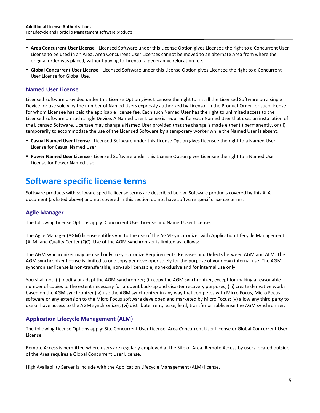- **Area Concurrent User License** Licensed Software under this License Option gives Licensee the right to a Concurrent User License to be used in an Area. Area Concurrent User Licenses cannot be moved to an alternate Area from where the original order was placed, without paying to Licensor a geographic relocation fee.
- **Global Concurrent User License** Licensed Software under this License Option gives Licensee the right to a Concurrent User License for Global Use.

## **Named User License**

Licensed Software provided under this License Option gives Licensee the right to install the Licensed Software on a single Device for use solely by the number of Named Users expressly authorized by Licensor in the Product Order for such license for whom Licensee has paid the applicable license fee. Each such Named User has the right to unlimited access to the Licensed Software on such single Device. A Named User License is required for each Named User that uses an installation of the Licensed Software. Licensee may change a Named User provided that the change is made either (i) permanently, or (ii) temporarily to accommodate the use of the Licensed Software by a temporary worker while the Named User is absent.

- **Casual Named User License** Licensed Software under this License Option gives Licensee the right to a Named User License for Casual Named User.
- **Power Named User License** Licensed Software under this License Option gives Licensee the right to a Named User License for Power Named User.

# **Software specific license terms**

Software products with software specific license terms are described below. Software products covered by this ALA document (as listed above) and not covered in this section do not have software specific license terms.

### **Agile Manager**

The following License Options apply: Concurrent User License and Named User License.

The Agile Manager (AGM) license entitles you to the use of the AGM synchronizer with Application Lifecycle Management (ALM) and Quality Center (QC). Use of the AGM synchronizer is limited as follows:

The AGM synchronizer may be used only to synchronize Requirements, Releases and Defects between AGM and ALM. The AGM synchronizer license is limited to one copy per developer solely for the purpose of your own internal use. The AGM synchronizer license is non-transferable, non-sub licensable, nonexclusive and for internal use only.

You shall not: (i) modify or adapt the AGM synchronizer; (ii) copy the AGM synchronizer, except for making a reasonable number of copies to the extent necessary for prudent back-up and disaster recovery purposes; (iii) create derivative works based on the AGM synchronizer (iv) use the AGM synchronizer in any way that competes with Micro Focus, Micro Focus software or any extension to the Micro Focus software developed and marketed by Micro Focus; (v) allow any third party to use or have access to the AGM synchronizer; (vi) distribute, rent, lease, lend, transfer or sublicense the AGM synchronizer.

### **Application Lifecycle Management (ALM)**

The following License Options apply: Site Concurrent User License, Area Concurrent User License or Global Concurrent User License.

Remote Access is permitted where users are regularly employed at the Site or Area. Remote Access by users located outside of the Area requires a Global Concurrent User License.

High Availability Server is include with the Application Lifecycle Management (ALM) license.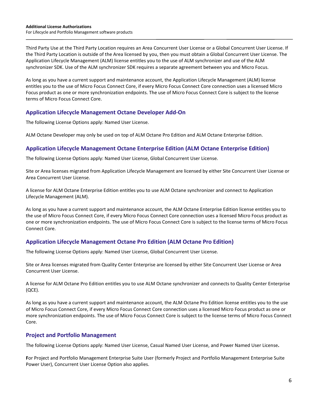Third Party Use at the Third Party Location requires an Area Concurrent User License or a Global Concurrent User License. If the Third Party Location is outside of the Area licensed by you, then you must obtain a Global Concurrent User License. The Application Lifecycle Management (ALM) license entitles you to the use of ALM synchronizer and use of the ALM synchronizer SDK. Use of the ALM synchronizer SDK requires a separate agreement between you and Micro Focus.

As long as you have a current support and maintenance account, the Application Lifecycle Management (ALM) license entitles you to the use of Micro Focus Connect Core, if every Micro Focus Connect Core connection uses a licensed Micro Focus product as one or more synchronization endpoints. The use of Micro Focus Connect Core is subject to the license terms of Micro Focus Connect Core.

## **Application Lifecycle Management Octane Developer Add-On**

The following License Options apply: Named User License.

ALM Octane Developer may only be used on top of ALM Octane Pro Edition and ALM Octane Enterprise Edition.

## **Application Lifecycle Management Octane Enterprise Edition (ALM Octane Enterprise Edition)**

The following License Options apply: Named User License, Global Concurrent User License.

Site or Area licenses migrated from Application Lifecycle Management are licensed by either Site Concurrent User License or Area Concurrent User License.

A license for ALM Octane Enterprise Edition entitles you to use ALM Octane synchronizer and connect to Application Lifecycle Management (ALM).

As long as you have a current support and maintenance account, the ALM Octane Enterprise Edition license entitles you to the use of Micro Focus Connect Core, if every Micro Focus Connect Core connection uses a licensed Micro Focus product as one or more synchronization endpoints. The use of Micro Focus Connect Core is subject to the license terms of Micro Focus Connect Core.

### **Application Lifecycle Management Octane Pro Edition (ALM Octane Pro Edition)**

The following License Options apply: Named User License, Global Concurrent User License.

Site or Area licenses migrated from Quality Center Enterprise are licensed by either Site Concurrent User License or Area Concurrent User License.

A license for ALM Octane Pro Edition entitles you to use ALM Octane synchronizer and connects to Quality Center Enterprise (QCE).

As long as you have a current support and maintenance account, the ALM Octane Pro Edition license entitles you to the use of Micro Focus Connect Core, if every Micro Focus Connect Core connection uses a licensed Micro Focus product as one or more synchronization endpoints. The use of Micro Focus Connect Core is subject to the license terms of Micro Focus Connect Core.

### **Project and Portfolio Management**

The following License Options apply: Named User License, Casual Named User License, and Power Named User License**.**

**F**or Project and Portfolio Management Enterprise Suite User (formerly Project and Portfolio Management Enterprise Suite Power User), Concurrent User License Option also applies.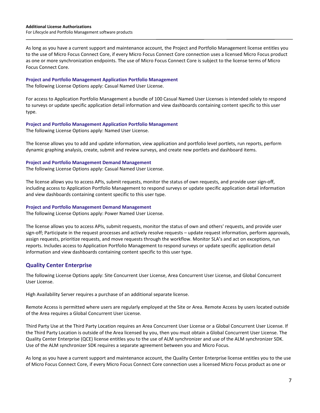As long as you have a current support and maintenance account, the Project and Portfolio Management license entitles you to the use of Micro Focus Connect Core, if every Micro Focus Connect Core connection uses a licensed Micro Focus product as one or more synchronization endpoints. The use of Micro Focus Connect Core is subject to the license terms of Micro Focus Connect Core.

#### **Project and Portfolio Management Application Portfolio Management**

The following License Options apply: Casual Named User License.

For access to Application Portfolio Management a bundle of 100 Casual Named User Licenses is intended solely to respond to surveys or update specific application detail information and view dashboards containing content specific to this user type.

#### **Project and Portfolio Management Application Portfolio Management**

The following License Options apply: Named User License.

The license allows you to add and update information, view application and portfolio level portlets, run reports, perform dynamic graphing analysis, create, submit and review surveys, and create new portlets and dashboard items.

#### **Project and Portfolio Management Demand Management**

The following License Options apply: Casual Named User License.

The license allows you to access APIs, submit requests, monitor the status of own requests, and provide user sign-off, including access to Application Portfolio Management to respond surveys or update specific application detail information and view dashboards containing content specific to this user type.

#### **Project and Portfolio Management Demand Management**

The following License Options apply: Power Named User License.

The license allows you to access APIs, submit requests, monitor the status of own and others' requests, and provide user sign-off; Participate in the request processes and actively resolve requests – update request information, perform approvals, assign requests, prioritize requests, and move requests through the workflow. Monitor SLA's and act on exceptions, run reports. Includes access to Application Portfolio Management to respond surveys or update specific application detail information and view dashboards containing content specific to this user type.

### **Quality Center Enterprise**

The following License Options apply: Site Concurrent User License, Area Concurrent User License, and Global Concurrent User License.

High Availability Server requires a purchase of an additional separate license.

Remote Access is permitted where users are regularly employed at the Site or Area. Remote Access by users located outside of the Area requires a Global Concurrent User License.

Third Party Use at the Third Party Location requires an Area Concurrent User License or a Global Concurrent User License. If the Third Party Location is outside of the Area licensed by you, then you must obtain a Global Concurrent User License. The Quality Center Enterprise (QCE) license entitles you to the use of ALM synchronizer and use of the ALM synchronizer SDK. Use of the ALM synchronizer SDK requires a separate agreement between you and Micro Focus.

As long as you have a current support and maintenance account, the Quality Center Enterprise license entitles you to the use of Micro Focus Connect Core, if every Micro Focus Connect Core connection uses a licensed Micro Focus product as one or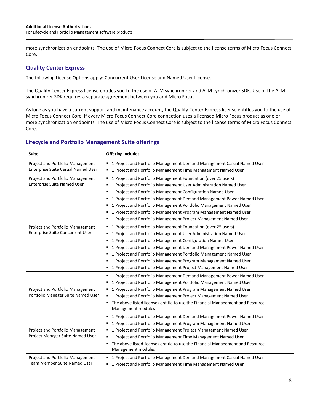more synchronization endpoints. The use of Micro Focus Connect Core is subject to the license terms of Micro Focus Connect Core.

## **Quality Center Express**

The following License Options apply: Concurrent User License and Named User License.

The Quality Center Express license entitles you to the use of ALM synchronizer and ALM synchronizer SDK. Use of the ALM synchronizer SDK requires a separate agreement between you and Micro Focus.

As long as you have a current support and maintenance account, the Quality Center Express license entitles you to the use of Micro Focus Connect Core, if every Micro Focus Connect Core connection uses a licensed Micro Focus product as one or more synchronization endpoints. The use of Micro Focus Connect Core is subject to the license terms of Micro Focus Connect Core.

## **Lifecycle and Portfolio Management Suite offerings**

| <b>Suite</b>                              | <b>Offering includes</b>                                                                                  |
|-------------------------------------------|-----------------------------------------------------------------------------------------------------------|
| Project and Portfolio Management          | ■ 1 Project and Portfolio Management Demand Management Casual Named User                                  |
| <b>Enterprise Suite Casual Named User</b> | " 1 Project and Portfolio Management Time Management Named User                                           |
| Project and Portfolio Management          | ■ 1 Project and Portfolio Management Foundation (over 25 users)                                           |
| <b>Enterprise Suite Named User</b>        | 1 Project and Portfolio Management User Administration Named User<br>٠                                    |
|                                           | 1 Project and Portfolio Management Configuration Named User                                               |
|                                           | 1 Project and Portfolio Management Demand Management Power Named User                                     |
|                                           | 1 Project and Portfolio Management Portfolio Management Named User                                        |
|                                           | 1 Project and Portfolio Management Program Management Named User                                          |
|                                           | 1 Project and Portfolio Management Project Management Named User                                          |
| Project and Portfolio Management          | 1 Project and Portfolio Management Foundation (over 25 users)                                             |
| <b>Enterprise Suite Concurrent User</b>   | 1 Project and Portfolio Management User Administration Named User<br>٠                                    |
|                                           | 1 Project and Portfolio Management Configuration Named User                                               |
|                                           | 1 Project and Portfolio Management Demand Management Power Named User                                     |
|                                           | 1 Project and Portfolio Management Portfolio Management Named User                                        |
|                                           | 1 Project and Portfolio Management Program Management Named User                                          |
|                                           | ■ 1 Project and Portfolio Management Project Management Named User                                        |
|                                           | " 1 Project and Portfolio Management Demand Management Power Named User                                   |
|                                           | 1 Project and Portfolio Management Portfolio Management Named User                                        |
| Project and Portfolio Management          | 1 Project and Portfolio Management Program Management Named User<br>٠                                     |
| Portfolio Manager Suite Named User        | 1 Project and Portfolio Management Project Management Named User                                          |
|                                           | The above listed licenses entitle to use the Financial Management and Resource                            |
|                                           | Management modules                                                                                        |
|                                           | 1 Project and Portfolio Management Demand Management Power Named User<br>٠                                |
|                                           | 1 Project and Portfolio Management Program Management Named User                                          |
| Project and Portfolio Management          | 1 Project and Portfolio Management Project Management Named User                                          |
| Project Manager Suite Named User          | 1 Project and Portfolio Management Time Management Named User<br>٠                                        |
|                                           | The above listed licenses entitle to use the Financial Management and Resource<br>٠<br>Management modules |
| Project and Portfolio Management          | 1 Project and Portfolio Management Demand Management Casual Named User                                    |
| Team Member Suite Named User              | 1 Project and Portfolio Management Time Management Named User                                             |